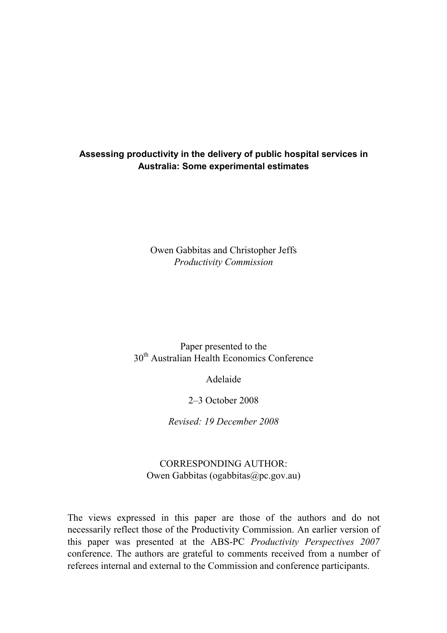### **Assessing productivity in the delivery of public hospital services in Australia: Some experimental estimates**

Owen Gabbitas and Christopher Jeffs *Productivity Commission*

# Paper presented to the 30<sup>th</sup> Australian Health Economics Conference

Adelaide

2–3 October 2008

*Revised: 19 December 2008* 

# CORRESPONDING AUTHOR: Owen Gabbitas (ogabbitas@pc.gov.au)

The views expressed in this paper are those of the authors and do not necessarily reflect those of the Productivity Commission. An earlier version of this paper was presented at the ABS-PC *Productivity Perspectives 2007* conference. The authors are grateful to comments received from a number of referees internal and external to the Commission and conference participants.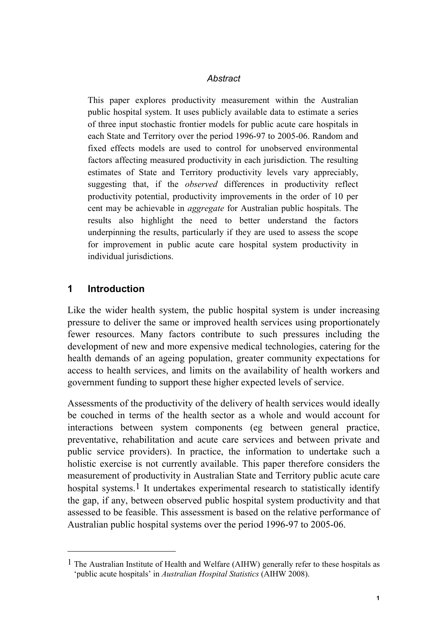#### *Abstract*

This paper explores productivity measurement within the Australian public hospital system. It uses publicly available data to estimate a series of three input stochastic frontier models for public acute care hospitals in each State and Territory over the period 1996-97 to 2005-06. Random and fixed effects models are used to control for unobserved environmental factors affecting measured productivity in each jurisdiction. The resulting estimates of State and Territory productivity levels vary appreciably, suggesting that, if the *observed* differences in productivity reflect productivity potential, productivity improvements in the order of 10 per cent may be achievable in *aggregate* for Australian public hospitals. The results also highlight the need to better understand the factors underpinning the results, particularly if they are used to assess the scope for improvement in public acute care hospital system productivity in individual jurisdictions.

# **1 Introduction**

l

Like the wider health system, the public hospital system is under increasing pressure to deliver the same or improved health services using proportionately fewer resources. Many factors contribute to such pressures including the development of new and more expensive medical technologies, catering for the health demands of an ageing population, greater community expectations for access to health services, and limits on the availability of health workers and government funding to support these higher expected levels of service.

Assessments of the productivity of the delivery of health services would ideally be couched in terms of the health sector as a whole and would account for interactions between system components (eg between general practice, preventative, rehabilitation and acute care services and between private and public service providers). In practice, the information to undertake such a holistic exercise is not currently available. This paper therefore considers the measurement of productivity in Australian State and Territory public acute care hospital systems.<sup>1</sup> It undertakes experimental research to statistically identify the gap, if any, between observed public hospital system productivity and that assessed to be feasible. This assessment is based on the relative performance of Australian public hospital systems over the period 1996-97 to 2005-06.

<sup>1</sup> The Australian Institute of Health and Welfare (AIHW) generally refer to these hospitals as 'public acute hospitals' in *Australian Hospital Statistics* (AIHW 2008).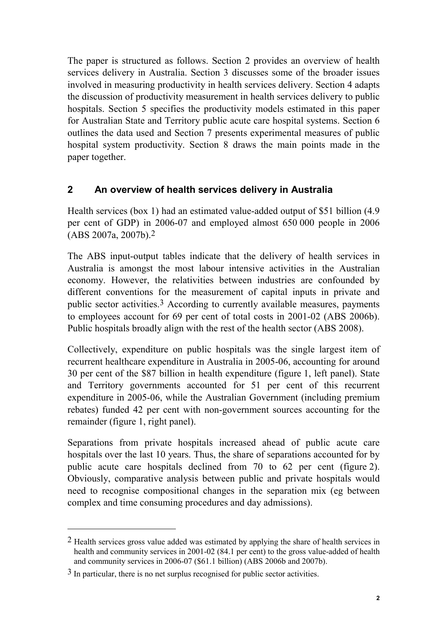The paper is structured as follows. Section 2 provides an overview of health services delivery in Australia. Section 3 discusses some of the broader issues involved in measuring productivity in health services delivery. Section 4 adapts the discussion of productivity measurement in health services delivery to public hospitals. Section 5 specifies the productivity models estimated in this paper for Australian State and Territory public acute care hospital systems. Section 6 outlines the data used and Section 7 presents experimental measures of public hospital system productivity. Section 8 draws the main points made in the paper together.

# **2 An overview of health services delivery in Australia**

Health services (box 1) had an estimated value-added output of \$51 billion (4.9 per cent of GDP) in 2006-07 and employed almost 650 000 people in 2006 (ABS 2007a, 2007b).2

The ABS input-output tables indicate that the delivery of health services in Australia is amongst the most labour intensive activities in the Australian economy. However, the relativities between industries are confounded by different conventions for the measurement of capital inputs in private and public sector activities.3 According to currently available measures, payments to employees account for 69 per cent of total costs in 2001-02 (ABS 2006b). Public hospitals broadly align with the rest of the health sector (ABS 2008).

Collectively, expenditure on public hospitals was the single largest item of recurrent healthcare expenditure in Australia in 2005-06, accounting for around 30 per cent of the \$87 billion in health expenditure (figure 1, left panel). State and Territory governments accounted for 51 per cent of this recurrent expenditure in 2005-06, while the Australian Government (including premium rebates) funded 42 per cent with non-government sources accounting for the remainder (figure 1, right panel).

Separations from private hospitals increased ahead of public acute care hospitals over the last 10 years. Thus, the share of separations accounted for by public acute care hospitals declined from 70 to 62 per cent (figure 2). Obviously, comparative analysis between public and private hospitals would need to recognise compositional changes in the separation mix (eg between complex and time consuming procedures and day admissions).

l

<sup>&</sup>lt;sup>2</sup> Health services gross value added was estimated by applying the share of health services in health and community services in 2001-02 (84.1 per cent) to the gross value-added of health and community services in 2006-07 (\$61.1 billion) (ABS 2006b and 2007b).

 $3$  In particular, there is no net surplus recognised for public sector activities.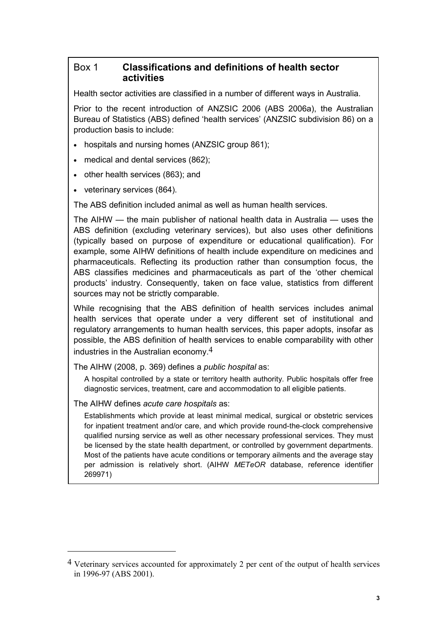### Box 1 **Classifications and definitions of health sector activities**

Health sector activities are classified in a number of different ways in Australia.

Prior to the recent introduction of ANZSIC 2006 (ABS 2006a), the Australian Bureau of Statistics (ABS) defined 'health services' (ANZSIC subdivision 86) on a production basis to include:

- hospitals and nursing homes (ANZSIC group 861);
- medical and dental services (862);
- other health services (863); and
- veterinary services (864).

The ABS definition included animal as well as human health services.

The AIHW — the main publisher of national health data in Australia — uses the ABS definition (excluding veterinary services), but also uses other definitions (typically based on purpose of expenditure or educational qualification). For example, some AIHW definitions of health include expenditure on medicines and pharmaceuticals. Reflecting its production rather than consumption focus, the ABS classifies medicines and pharmaceuticals as part of the 'other chemical products' industry. Consequently, taken on face value, statistics from different sources may not be strictly comparable.

While recognising that the ABS definition of health services includes animal health services that operate under a very different set of institutional and regulatory arrangements to human health services, this paper adopts, insofar as possible, the ABS definition of health services to enable comparability with other industries in the Australian economy. $4$ 

The AIHW (2008, p. 369) defines a *public hospital* as:

A hospital controlled by a state or territory health authority. Public hospitals offer free diagnostic services, treatment, care and accommodation to all eligible patients.

The AIHW defines *acute care hospitals* as:

l

Establishments which provide at least minimal medical, surgical or obstetric services for inpatient treatment and/or care, and which provide round-the-clock comprehensive qualified nursing service as well as other necessary professional services. They must be licensed by the state health department, or controlled by government departments. Most of the patients have acute conditions or temporary ailments and the average stay per admission is relatively short. (AIHW *METeOR* database, reference identifier 269971)

<sup>4</sup> Veterinary services accounted for approximately 2 per cent of the output of health services in 1996-97 (ABS 2001).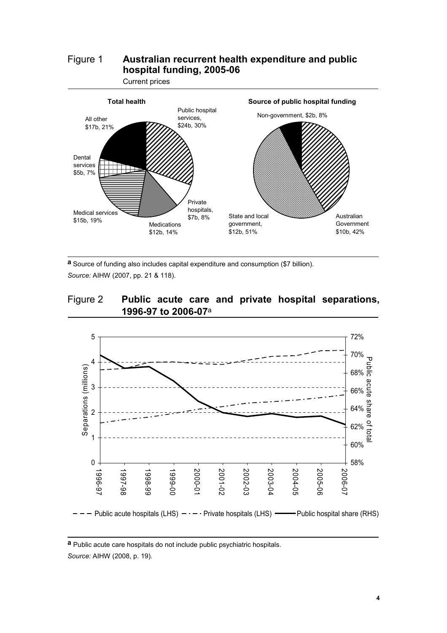# Figure 1 **Australian recurrent health expenditure and public hospital funding, 2005-06**



**a** Source of funding also includes capital expenditure and consumption (\$7 billion). *Source:* AIHW (2007, pp. 21 & 118).

#### Figure 2 **Public acute care and private hospital separations, 1996-97 to 2006-07**<sup>a</sup>



**a** Public acute care hospitals do not include public psychiatric hospitals. *Source:* AIHW (2008, p. 19).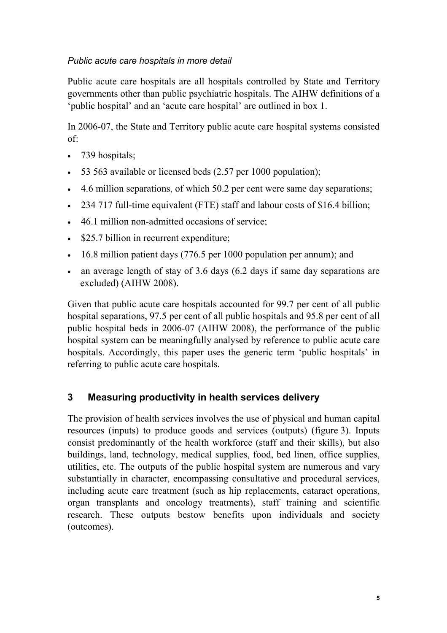## *Public acute care hospitals in more detail*

Public acute care hospitals are all hospitals controlled by State and Territory governments other than public psychiatric hospitals. The AIHW definitions of a 'public hospital' and an 'acute care hospital' are outlined in box 1.

In 2006-07, the State and Territory public acute care hospital systems consisted of:

- 739 hospitals;
- 53 563 available or licensed beds (2.57 per 1000 population);
- 4.6 million separations, of which 50.2 per cent were same day separations;
- 234 717 full-time equivalent (FTE) staff and labour costs of \$16.4 billion;
- 46.1 million non-admitted occasions of service;
- \$25.7 billion in recurrent expenditure;
- 16.8 million patient days (776.5 per 1000 population per annum); and
- an average length of stay of 3.6 days (6.2 days if same day separations are excluded) (AIHW 2008).

Given that public acute care hospitals accounted for 99.7 per cent of all public hospital separations, 97.5 per cent of all public hospitals and 95.8 per cent of all public hospital beds in 2006-07 (AIHW 2008), the performance of the public hospital system can be meaningfully analysed by reference to public acute care hospitals. Accordingly, this paper uses the generic term 'public hospitals' in referring to public acute care hospitals.

# **3 Measuring productivity in health services delivery**

The provision of health services involves the use of physical and human capital resources (inputs) to produce goods and services (outputs) (figure 3). Inputs consist predominantly of the health workforce (staff and their skills), but also buildings, land, technology, medical supplies, food, bed linen, office supplies, utilities, etc. The outputs of the public hospital system are numerous and vary substantially in character, encompassing consultative and procedural services, including acute care treatment (such as hip replacements, cataract operations, organ transplants and oncology treatments), staff training and scientific research. These outputs bestow benefits upon individuals and society (outcomes).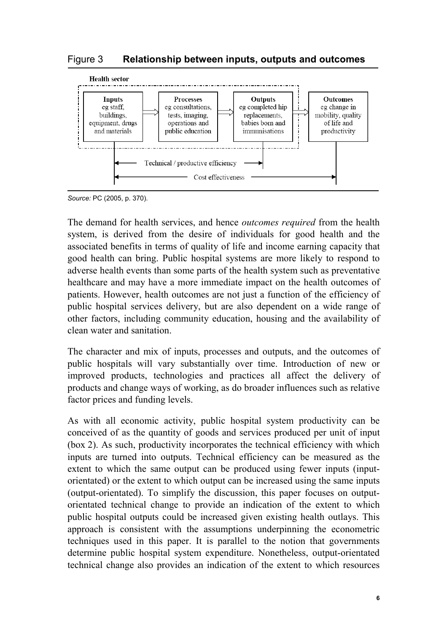#### Figure 3 **Relationship between inputs, outputs and outcomes**



*Source:* PC (2005, p. 370).

The demand for health services, and hence *outcomes required* from the health system, is derived from the desire of individuals for good health and the associated benefits in terms of quality of life and income earning capacity that good health can bring. Public hospital systems are more likely to respond to adverse health events than some parts of the health system such as preventative healthcare and may have a more immediate impact on the health outcomes of patients. However, health outcomes are not just a function of the efficiency of public hospital services delivery, but are also dependent on a wide range of other factors, including community education, housing and the availability of clean water and sanitation.

The character and mix of inputs, processes and outputs, and the outcomes of public hospitals will vary substantially over time. Introduction of new or improved products, technologies and practices all affect the delivery of products and change ways of working, as do broader influences such as relative factor prices and funding levels.

As with all economic activity, public hospital system productivity can be conceived of as the quantity of goods and services produced per unit of input (box 2). As such, productivity incorporates the technical efficiency with which inputs are turned into outputs. Technical efficiency can be measured as the extent to which the same output can be produced using fewer inputs (inputorientated) or the extent to which output can be increased using the same inputs (output-orientated). To simplify the discussion, this paper focuses on outputorientated technical change to provide an indication of the extent to which public hospital outputs could be increased given existing health outlays. This approach is consistent with the assumptions underpinning the econometric techniques used in this paper. It is parallel to the notion that governments determine public hospital system expenditure. Nonetheless, output-orientated technical change also provides an indication of the extent to which resources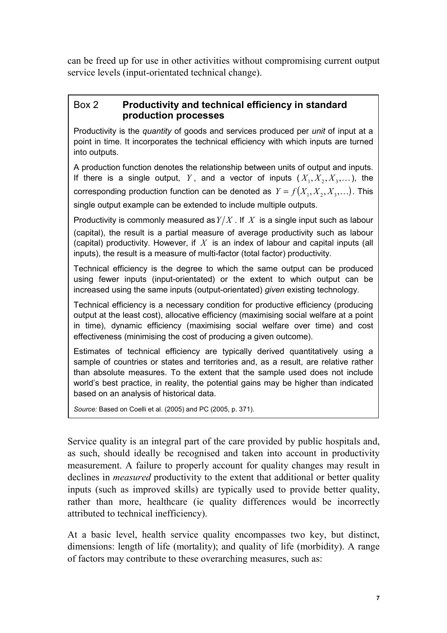can be freed up for use in other activities without compromising current output service levels (input-orientated technical change).

#### Box 2 **Productivity and technical efficiency in standard production processes**

Productivity is the *quantity* of goods and services produced per *unit* of input at a point in time. It incorporates the technical efficiency with which inputs are turned into outputs.

A production function denotes the relationship between units of output and inputs. If there is a single output, *Y*, and a vector of inputs  $(X_1, X_2, X_3,...)$ , the corresponding production function can be denoted as  $Y = f(X_1, X_2, X_3,...)$ . This single output example can be extended to include multiple outputs.

Productivity is commonly measured as  $Y/X$ . If  $X$  is a single input such as labour (capital), the result is a partial measure of average productivity such as labour (capital) productivity. However, if *X* is an index of labour and capital inputs (all inputs), the result is a measure of multi-factor (total factor) productivity.

Technical efficiency is the degree to which the same output can be produced using fewer inputs (input-orientated) or the extent to which output can be increased using the same inputs (output-orientated) *given* existing technology.

Technical efficiency is a necessary condition for productive efficiency (producing output at the least cost), allocative efficiency (maximising social welfare at a point in time), dynamic efficiency (maximising social welfare over time) and cost effectiveness (minimising the cost of producing a given outcome).

Estimates of technical efficiency are typically derived quantitatively using a sample of countries or states and territories and, as a result, are relative rather than absolute measures. To the extent that the sample used does not include world's best practice, in reality, the potential gains may be higher than indicated based on an analysis of historical data.

*Source:* Based on Coelli et al. (2005) and PC (2005, p. 371).

Service quality is an integral part of the care provided by public hospitals and, as such, should ideally be recognised and taken into account in productivity measurement. A failure to properly account for quality changes may result in declines in *measured* productivity to the extent that additional or better quality inputs (such as improved skills) are typically used to provide better quality, rather than more, healthcare (ie quality differences would be incorrectly attributed to technical inefficiency).

At a basic level, health service quality encompasses two key, but distinct, dimensions: length of life (mortality); and quality of life (morbidity). A range of factors may contribute to these overarching measures, such as: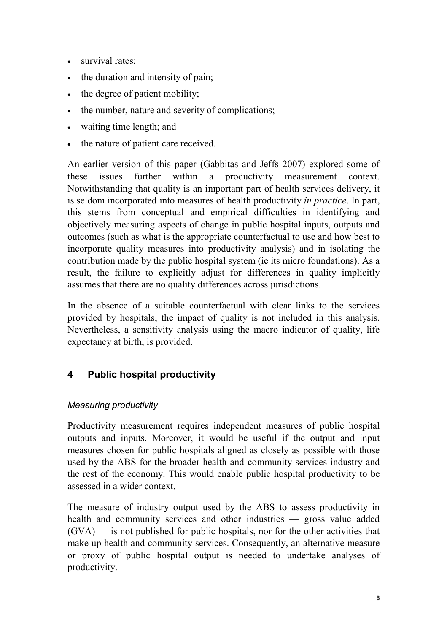- survival rates;
- the duration and intensity of pain;
- the degree of patient mobility;
- the number, nature and severity of complications;
- waiting time length; and
- the nature of patient care received.

An earlier version of this paper (Gabbitas and Jeffs 2007) explored some of these issues further within a productivity measurement context. Notwithstanding that quality is an important part of health services delivery, it is seldom incorporated into measures of health productivity *in practice*. In part, this stems from conceptual and empirical difficulties in identifying and objectively measuring aspects of change in public hospital inputs, outputs and outcomes (such as what is the appropriate counterfactual to use and how best to incorporate quality measures into productivity analysis) and in isolating the contribution made by the public hospital system (ie its micro foundations). As a result, the failure to explicitly adjust for differences in quality implicitly assumes that there are no quality differences across jurisdictions.

In the absence of a suitable counterfactual with clear links to the services provided by hospitals, the impact of quality is not included in this analysis. Nevertheless, a sensitivity analysis using the macro indicator of quality, life expectancy at birth, is provided.

# **4 Public hospital productivity**

# *Measuring productivity*

Productivity measurement requires independent measures of public hospital outputs and inputs. Moreover, it would be useful if the output and input measures chosen for public hospitals aligned as closely as possible with those used by the ABS for the broader health and community services industry and the rest of the economy. This would enable public hospital productivity to be assessed in a wider context.

The measure of industry output used by the ABS to assess productivity in health and community services and other industries — gross value added (GVA) — is not published for public hospitals, nor for the other activities that make up health and community services. Consequently, an alternative measure or proxy of public hospital output is needed to undertake analyses of productivity.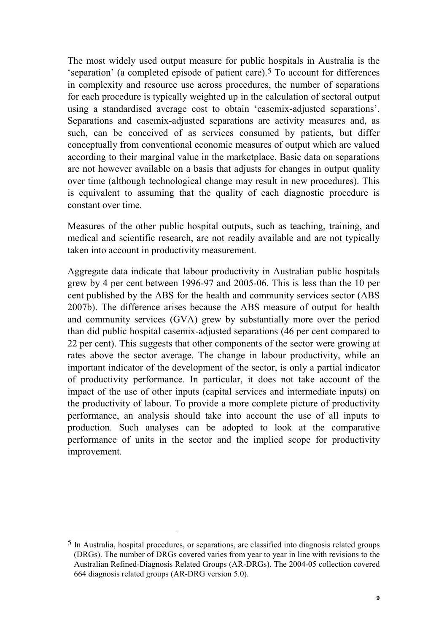The most widely used output measure for public hospitals in Australia is the 'separation' (a completed episode of patient care).5 To account for differences in complexity and resource use across procedures, the number of separations for each procedure is typically weighted up in the calculation of sectoral output using a standardised average cost to obtain 'casemix-adjusted separations'. Separations and casemix-adjusted separations are activity measures and, as such, can be conceived of as services consumed by patients, but differ conceptually from conventional economic measures of output which are valued according to their marginal value in the marketplace. Basic data on separations are not however available on a basis that adjusts for changes in output quality over time (although technological change may result in new procedures). This is equivalent to assuming that the quality of each diagnostic procedure is constant over time.

Measures of the other public hospital outputs, such as teaching, training, and medical and scientific research, are not readily available and are not typically taken into account in productivity measurement.

Aggregate data indicate that labour productivity in Australian public hospitals grew by 4 per cent between 1996-97 and 2005-06. This is less than the 10 per cent published by the ABS for the health and community services sector (ABS 2007b). The difference arises because the ABS measure of output for health and community services (GVA) grew by substantially more over the period than did public hospital casemix-adjusted separations (46 per cent compared to 22 per cent). This suggests that other components of the sector were growing at rates above the sector average. The change in labour productivity, while an important indicator of the development of the sector, is only a partial indicator of productivity performance. In particular, it does not take account of the impact of the use of other inputs (capital services and intermediate inputs) on the productivity of labour. To provide a more complete picture of productivity performance, an analysis should take into account the use of all inputs to production. Such analyses can be adopted to look at the comparative performance of units in the sector and the implied scope for productivity improvement.

l

<sup>5</sup> In Australia, hospital procedures, or separations, are classified into diagnosis related groups (DRGs). The number of DRGs covered varies from year to year in line with revisions to the Australian Refined-Diagnosis Related Groups (AR-DRGs). The 2004-05 collection covered 664 diagnosis related groups (AR-DRG version 5.0).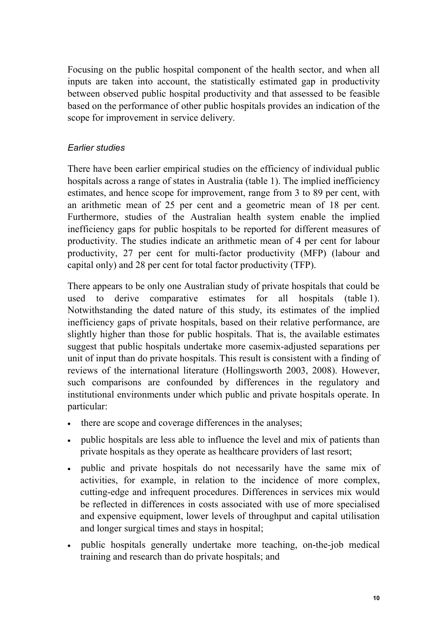Focusing on the public hospital component of the health sector, and when all inputs are taken into account, the statistically estimated gap in productivity between observed public hospital productivity and that assessed to be feasible based on the performance of other public hospitals provides an indication of the scope for improvement in service delivery.

#### *Earlier studies*

There have been earlier empirical studies on the efficiency of individual public hospitals across a range of states in Australia (table 1). The implied inefficiency estimates, and hence scope for improvement, range from 3 to 89 per cent, with an arithmetic mean of 25 per cent and a geometric mean of 18 per cent. Furthermore, studies of the Australian health system enable the implied inefficiency gaps for public hospitals to be reported for different measures of productivity. The studies indicate an arithmetic mean of 4 per cent for labour productivity, 27 per cent for multi-factor productivity (MFP) (labour and capital only) and 28 per cent for total factor productivity (TFP).

There appears to be only one Australian study of private hospitals that could be used to derive comparative estimates for all hospitals (table 1). Notwithstanding the dated nature of this study, its estimates of the implied inefficiency gaps of private hospitals, based on their relative performance, are slightly higher than those for public hospitals. That is, the available estimates suggest that public hospitals undertake more casemix-adjusted separations per unit of input than do private hospitals. This result is consistent with a finding of reviews of the international literature (Hollingsworth 2003, 2008). However, such comparisons are confounded by differences in the regulatory and institutional environments under which public and private hospitals operate. In particular:

- there are scope and coverage differences in the analyses;
- public hospitals are less able to influence the level and mix of patients than private hospitals as they operate as healthcare providers of last resort;
- public and private hospitals do not necessarily have the same mix of activities, for example, in relation to the incidence of more complex, cutting-edge and infrequent procedures. Differences in services mix would be reflected in differences in costs associated with use of more specialised and expensive equipment, lower levels of throughput and capital utilisation and longer surgical times and stays in hospital;
- public hospitals generally undertake more teaching, on-the-job medical training and research than do private hospitals; and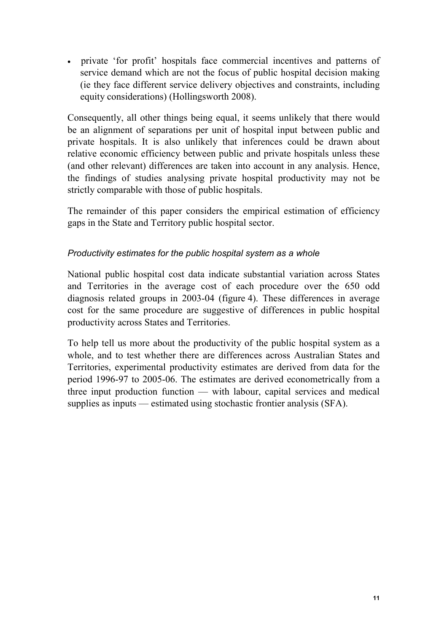• private 'for profit' hospitals face commercial incentives and patterns of service demand which are not the focus of public hospital decision making (ie they face different service delivery objectives and constraints, including equity considerations) (Hollingsworth 2008).

Consequently, all other things being equal, it seems unlikely that there would be an alignment of separations per unit of hospital input between public and private hospitals. It is also unlikely that inferences could be drawn about relative economic efficiency between public and private hospitals unless these (and other relevant) differences are taken into account in any analysis. Hence, the findings of studies analysing private hospital productivity may not be strictly comparable with those of public hospitals.

The remainder of this paper considers the empirical estimation of efficiency gaps in the State and Territory public hospital sector.

### *Productivity estimates for the public hospital system as a whole*

National public hospital cost data indicate substantial variation across States and Territories in the average cost of each procedure over the 650 odd diagnosis related groups in 2003-04 (figure 4). These differences in average cost for the same procedure are suggestive of differences in public hospital productivity across States and Territories.

To help tell us more about the productivity of the public hospital system as a whole, and to test whether there are differences across Australian States and Territories, experimental productivity estimates are derived from data for the period 1996-97 to 2005-06. The estimates are derived econometrically from a three input production function — with labour, capital services and medical supplies as inputs — estimated using stochastic frontier analysis (SFA).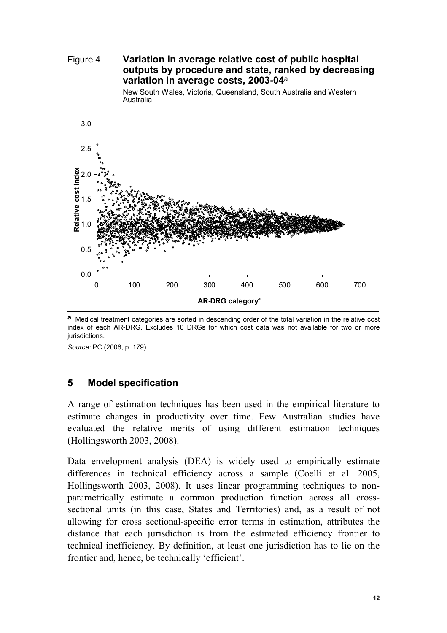#### Figure 4 **Variation in average relative cost of public hospital outputs by procedure and state, ranked by decreasing variation in average costs, 2003-04**<sup>a</sup>

New South Wales, Victoria, Queensland, South Australia and Western Australia



**a** Medical treatment categories are sorted in descending order of the total variation in the relative cost index of each AR-DRG. Excludes 10 DRGs for which cost data was not available for two or more jurisdictions.

*Source:* PC (2006, p. 179).

#### **5 Model specification**

A range of estimation techniques has been used in the empirical literature to estimate changes in productivity over time. Few Australian studies have evaluated the relative merits of using different estimation techniques (Hollingsworth 2003, 2008).

Data envelopment analysis (DEA) is widely used to empirically estimate differences in technical efficiency across a sample (Coelli et al. 2005, Hollingsworth 2003, 2008). It uses linear programming techniques to nonparametrically estimate a common production function across all crosssectional units (in this case, States and Territories) and, as a result of not allowing for cross sectional-specific error terms in estimation, attributes the distance that each jurisdiction is from the estimated efficiency frontier to technical inefficiency. By definition, at least one jurisdiction has to lie on the frontier and, hence, be technically 'efficient'.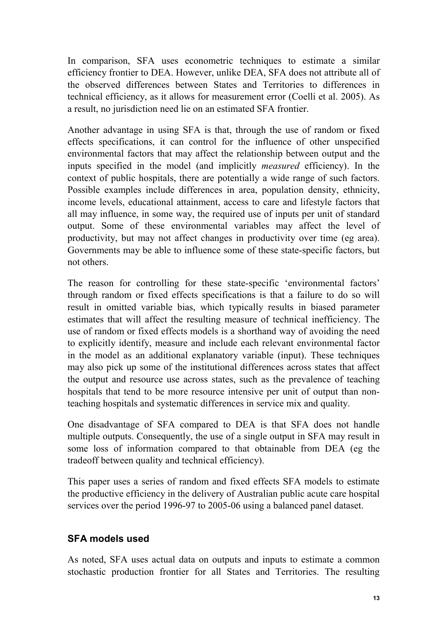In comparison, SFA uses econometric techniques to estimate a similar efficiency frontier to DEA. However, unlike DEA, SFA does not attribute all of the observed differences between States and Territories to differences in technical efficiency, as it allows for measurement error (Coelli et al. 2005). As a result, no jurisdiction need lie on an estimated SFA frontier.

Another advantage in using SFA is that, through the use of random or fixed effects specifications, it can control for the influence of other unspecified environmental factors that may affect the relationship between output and the inputs specified in the model (and implicitly *measured* efficiency). In the context of public hospitals, there are potentially a wide range of such factors. Possible examples include differences in area, population density, ethnicity, income levels, educational attainment, access to care and lifestyle factors that all may influence, in some way, the required use of inputs per unit of standard output. Some of these environmental variables may affect the level of productivity, but may not affect changes in productivity over time (eg area). Governments may be able to influence some of these state-specific factors, but not others.

The reason for controlling for these state-specific 'environmental factors' through random or fixed effects specifications is that a failure to do so will result in omitted variable bias, which typically results in biased parameter estimates that will affect the resulting measure of technical inefficiency. The use of random or fixed effects models is a shorthand way of avoiding the need to explicitly identify, measure and include each relevant environmental factor in the model as an additional explanatory variable (input). These techniques may also pick up some of the institutional differences across states that affect the output and resource use across states, such as the prevalence of teaching hospitals that tend to be more resource intensive per unit of output than nonteaching hospitals and systematic differences in service mix and quality.

One disadvantage of SFA compared to DEA is that SFA does not handle multiple outputs. Consequently, the use of a single output in SFA may result in some loss of information compared to that obtainable from DEA (eg the tradeoff between quality and technical efficiency).

This paper uses a series of random and fixed effects SFA models to estimate the productive efficiency in the delivery of Australian public acute care hospital services over the period 1996-97 to 2005-06 using a balanced panel dataset.

# **SFA models used**

As noted, SFA uses actual data on outputs and inputs to estimate a common stochastic production frontier for all States and Territories. The resulting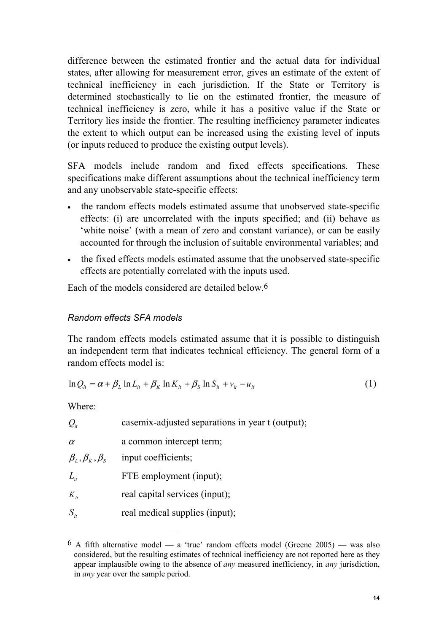difference between the estimated frontier and the actual data for individual states, after allowing for measurement error, gives an estimate of the extent of technical inefficiency in each jurisdiction. If the State or Territory is determined stochastically to lie on the estimated frontier, the measure of technical inefficiency is zero, while it has a positive value if the State or Territory lies inside the frontier. The resulting inefficiency parameter indicates the extent to which output can be increased using the existing level of inputs (or inputs reduced to produce the existing output levels).

SFA models include random and fixed effects specifications. These specifications make different assumptions about the technical inefficiency term and any unobservable state-specific effects:

- the random effects models estimated assume that unobserved state-specific effects: (i) are uncorrelated with the inputs specified; and (ii) behave as 'white noise' (with a mean of zero and constant variance), or can be easily accounted for through the inclusion of suitable environmental variables; and
- the fixed effects models estimated assume that the unobserved state-specific effects are potentially correlated with the inputs used.

Each of the models considered are detailed below.6

## *Random effects SFA models*

The random effects models estimated assume that it is possible to distinguish an independent term that indicates technical efficiency. The general form of a random effects model is:

$$
\ln Q_{it} = \alpha + \beta_L \ln L_{it} + \beta_K \ln K_{it} + \beta_S \ln S_{it} + v_{it} - u_{it}
$$
\n(1)

Where:

l

| $\mathcal{Q}_{it}$                                                                       | casemix-adjusted separations in year t (output); |
|------------------------------------------------------------------------------------------|--------------------------------------------------|
| $\alpha$                                                                                 | a common intercept term;                         |
| $\beta_{\scriptscriptstyle L},\beta_{\scriptscriptstyle K},\beta_{\scriptscriptstyle S}$ | input coefficients;                              |
| $L_{\scriptscriptstyle it}$                                                              | FTE employment (input);                          |
| $K_{it}$                                                                                 | real capital services (input);                   |
| $S_{it}$                                                                                 | real medical supplies (input);                   |
|                                                                                          |                                                  |

 $6$  A fifth alternative model — a 'true' random effects model (Greene 2005) — was also considered, but the resulting estimates of technical inefficiency are not reported here as they appear implausible owing to the absence of *any* measured inefficiency, in *any* jurisdiction, in *any* year over the sample period.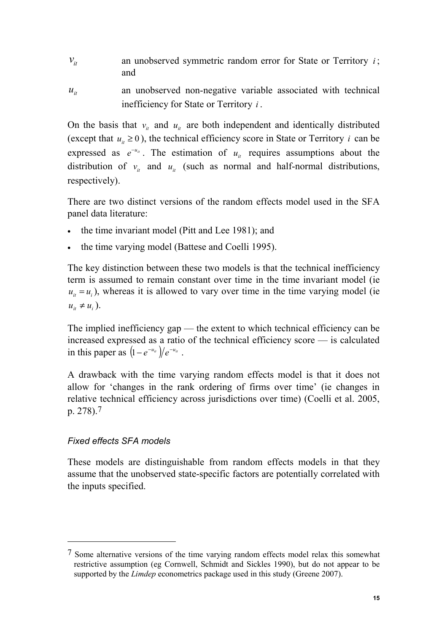- $v_{it}$  an unobserved symmetric random error for State or Territory *i*; and
- $u_{it}$  an unobserved non-negative variable associated with technical inefficiency for State or Territory *i* .

On the basis that  $v_i$  and  $u_i$  are both independent and identically distributed (except that  $u_i \ge 0$ ), the technical efficiency score in State or Territory *i* can be expressed as  $e^{-u_{it}}$ . The estimation of  $u_{it}$  requires assumptions about the distribution of  $v_i$  and  $u_i$  (such as normal and half-normal distributions, respectively).

There are two distinct versions of the random effects model used in the SFA panel data literature:

- the time invariant model (Pitt and Lee 1981); and
- the time varying model (Battese and Coelli 1995).

The key distinction between these two models is that the technical inefficiency term is assumed to remain constant over time in the time invariant model (ie  $u_{it} = u_i$ ), whereas it is allowed to vary over time in the time varying model (ie  $u_{it} \neq u_i$ ).

The implied inefficiency gap — the extent to which technical efficiency can be increased expressed as a ratio of the technical efficiency score — is calculated in this paper as  $(1 - e^{-u_{it}})/e^{-u_{it}}$ .

A drawback with the time varying random effects model is that it does not allow for 'changes in the rank ordering of firms over time' (ie changes in relative technical efficiency across jurisdictions over time) (Coelli et al. 2005, p. 278).7

# *Fixed effects SFA models*

 $\overline{a}$ 

These models are distinguishable from random effects models in that they assume that the unobserved state-specific factors are potentially correlated with the inputs specified.

<sup>7</sup> Some alternative versions of the time varying random effects model relax this somewhat restrictive assumption (eg Cornwell, Schmidt and Sickles 1990), but do not appear to be supported by the *Limdep* econometrics package used in this study (Greene 2007).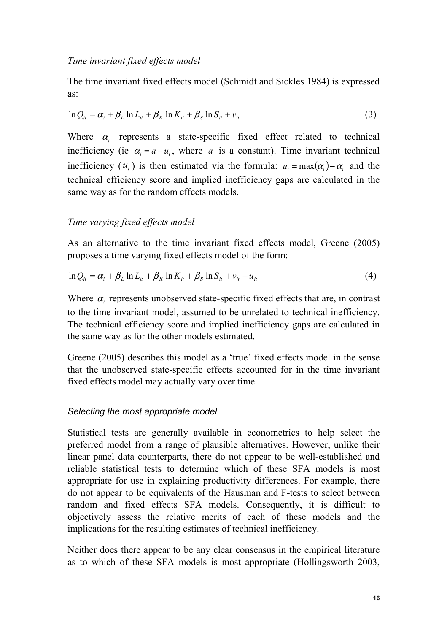#### *Time invariant fixed effects model*

The time invariant fixed effects model (Schmidt and Sickles 1984) is expressed as:

$$
\ln Q_u = \alpha_i + \beta_L \ln L_u + \beta_K \ln K_u + \beta_S \ln S_u + v_u \tag{3}
$$

Where  $\alpha$  represents a state-specific fixed effect related to technical inefficiency (ie  $\alpha_i = a - u_i$ , where *a* is a constant). Time invariant technical inefficiency  $(u_i)$  is then estimated via the formula:  $u_i = \max(\alpha_i) - \alpha_i$  and the technical efficiency score and implied inefficiency gaps are calculated in the same way as for the random effects models.

#### *Time varying fixed effects model*

As an alternative to the time invariant fixed effects model, Greene (2005) proposes a time varying fixed effects model of the form:

$$
\ln Q_u = \alpha_i + \beta_L \ln L_u + \beta_K \ln K_u + \beta_S \ln S_u + v_u - u_u \tag{4}
$$

Where  $\alpha_i$  represents unobserved state-specific fixed effects that are, in contrast to the time invariant model, assumed to be unrelated to technical inefficiency. The technical efficiency score and implied inefficiency gaps are calculated in the same way as for the other models estimated.

Greene (2005) describes this model as a 'true' fixed effects model in the sense that the unobserved state-specific effects accounted for in the time invariant fixed effects model may actually vary over time.

#### *Selecting the most appropriate model*

Statistical tests are generally available in econometrics to help select the preferred model from a range of plausible alternatives. However, unlike their linear panel data counterparts, there do not appear to be well-established and reliable statistical tests to determine which of these SFA models is most appropriate for use in explaining productivity differences. For example, there do not appear to be equivalents of the Hausman and F-tests to select between random and fixed effects SFA models. Consequently, it is difficult to objectively assess the relative merits of each of these models and the implications for the resulting estimates of technical inefficiency.

Neither does there appear to be any clear consensus in the empirical literature as to which of these SFA models is most appropriate (Hollingsworth 2003,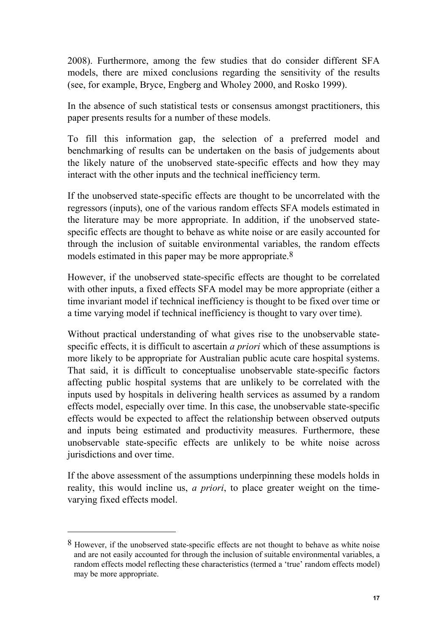2008). Furthermore, among the few studies that do consider different SFA models, there are mixed conclusions regarding the sensitivity of the results (see, for example, Bryce, Engberg and Wholey 2000, and Rosko 1999).

In the absence of such statistical tests or consensus amongst practitioners, this paper presents results for a number of these models.

To fill this information gap, the selection of a preferred model and benchmarking of results can be undertaken on the basis of judgements about the likely nature of the unobserved state-specific effects and how they may interact with the other inputs and the technical inefficiency term.

If the unobserved state-specific effects are thought to be uncorrelated with the regressors (inputs), one of the various random effects SFA models estimated in the literature may be more appropriate. In addition, if the unobserved statespecific effects are thought to behave as white noise or are easily accounted for through the inclusion of suitable environmental variables, the random effects models estimated in this paper may be more appropriate.<sup>8</sup>

However, if the unobserved state-specific effects are thought to be correlated with other inputs, a fixed effects SFA model may be more appropriate (either a time invariant model if technical inefficiency is thought to be fixed over time or a time varying model if technical inefficiency is thought to vary over time).

Without practical understanding of what gives rise to the unobservable statespecific effects, it is difficult to ascertain *a priori* which of these assumptions is more likely to be appropriate for Australian public acute care hospital systems. That said, it is difficult to conceptualise unobservable state-specific factors affecting public hospital systems that are unlikely to be correlated with the inputs used by hospitals in delivering health services as assumed by a random effects model, especially over time. In this case, the unobservable state-specific effects would be expected to affect the relationship between observed outputs and inputs being estimated and productivity measures. Furthermore, these unobservable state-specific effects are unlikely to be white noise across jurisdictions and over time.

If the above assessment of the assumptions underpinning these models holds in reality, this would incline us, *a priori*, to place greater weight on the timevarying fixed effects model.

l

<sup>8</sup> However, if the unobserved state-specific effects are not thought to behave as white noise and are not easily accounted for through the inclusion of suitable environmental variables, a random effects model reflecting these characteristics (termed a 'true' random effects model) may be more appropriate.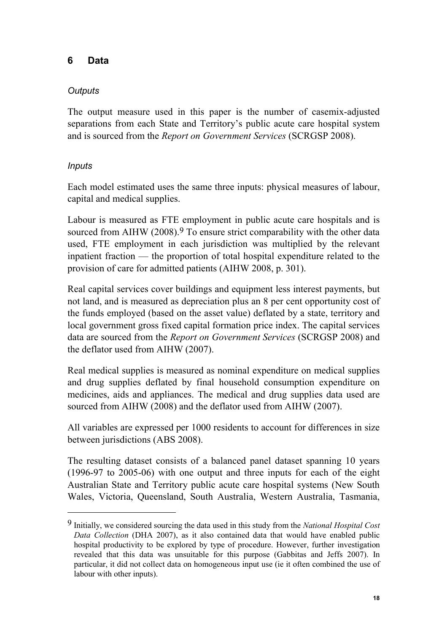## **6 Data**

### *Outputs*

The output measure used in this paper is the number of casemix-adjusted separations from each State and Territory's public acute care hospital system and is sourced from the *Report on Government Services* (SCRGSP 2008).

### *Inputs*

 $\overline{a}$ 

Each model estimated uses the same three inputs: physical measures of labour, capital and medical supplies.

Labour is measured as FTE employment in public acute care hospitals and is sourced from AIHW (2008).<sup>9</sup> To ensure strict comparability with the other data used, FTE employment in each jurisdiction was multiplied by the relevant inpatient fraction — the proportion of total hospital expenditure related to the provision of care for admitted patients (AIHW 2008, p. 301).

Real capital services cover buildings and equipment less interest payments, but not land, and is measured as depreciation plus an 8 per cent opportunity cost of the funds employed (based on the asset value) deflated by a state, territory and local government gross fixed capital formation price index. The capital services data are sourced from the *Report on Government Services* (SCRGSP 2008) and the deflator used from AIHW (2007).

Real medical supplies is measured as nominal expenditure on medical supplies and drug supplies deflated by final household consumption expenditure on medicines, aids and appliances. The medical and drug supplies data used are sourced from AIHW (2008) and the deflator used from AIHW (2007).

All variables are expressed per 1000 residents to account for differences in size between jurisdictions (ABS 2008).

The resulting dataset consists of a balanced panel dataset spanning 10 years (1996-97 to 2005-06) with one output and three inputs for each of the eight Australian State and Territory public acute care hospital systems (New South Wales, Victoria, Queensland, South Australia, Western Australia, Tasmania,

<sup>9</sup> Initially, we considered sourcing the data used in this study from the *National Hospital Cost Data Collection* (DHA 2007), as it also contained data that would have enabled public hospital productivity to be explored by type of procedure. However, further investigation revealed that this data was unsuitable for this purpose (Gabbitas and Jeffs 2007). In particular, it did not collect data on homogeneous input use (ie it often combined the use of labour with other inputs).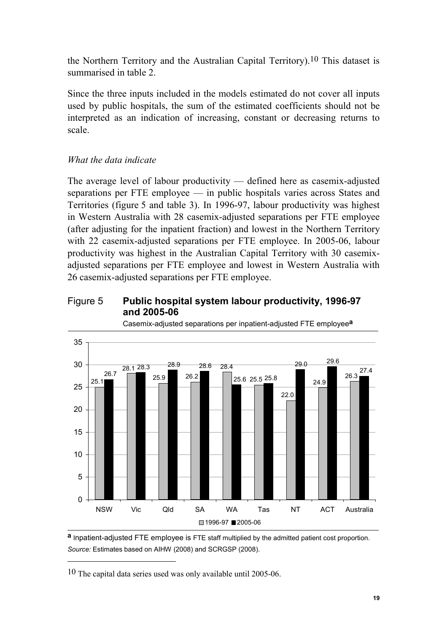the Northern Territory and the Australian Capital Territory).10 This dataset is summarised in table 2.

Since the three inputs included in the models estimated do not cover all inputs used by public hospitals, the sum of the estimated coefficients should not be interpreted as an indication of increasing, constant or decreasing returns to scale.

# *What the data indicate*

The average level of labour productivity — defined here as casemix-adjusted separations per FTE employee — in public hospitals varies across States and Territories (figure 5 and table 3). In 1996-97, labour productivity was highest in Western Australia with 28 casemix-adjusted separations per FTE employee (after adjusting for the inpatient fraction) and lowest in the Northern Territory with 22 casemix-adjusted separations per FTE employee. In 2005-06, labour productivity was highest in the Australian Capital Territory with 30 casemixadjusted separations per FTE employee and lowest in Western Australia with 26 casemix-adjusted separations per FTE employee.

#### Figure 5 **Public hospital system labour productivity, 1996-97 and 2005-06**



Casemix-adjusted separations per inpatient-adjusted FTE employee**a**

**a** Inpatient-adjusted FTE employee is FTE staff multiplied by the admitted patient cost proportion. *Source:* Estimates based on AIHW (2008) and SCRGSP (2008).

10 The capital data series used was only available until 2005-06.

l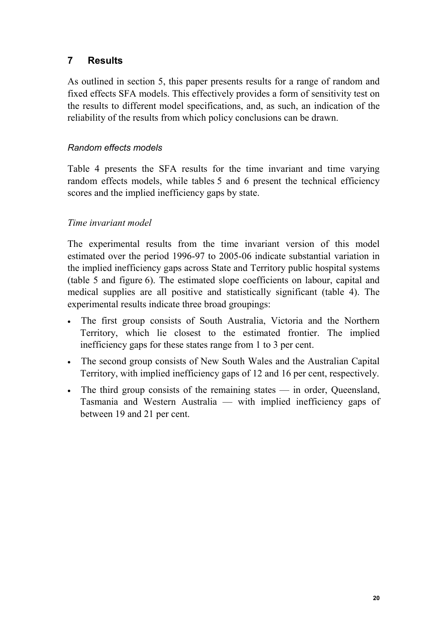# **7 Results**

As outlined in section 5, this paper presents results for a range of random and fixed effects SFA models. This effectively provides a form of sensitivity test on the results to different model specifications, and, as such, an indication of the reliability of the results from which policy conclusions can be drawn.

### *Random effects models*

Table 4 presents the SFA results for the time invariant and time varying random effects models, while tables 5 and 6 present the technical efficiency scores and the implied inefficiency gaps by state.

# *Time invariant model*

The experimental results from the time invariant version of this model estimated over the period 1996-97 to 2005-06 indicate substantial variation in the implied inefficiency gaps across State and Territory public hospital systems (table 5 and figure 6). The estimated slope coefficients on labour, capital and medical supplies are all positive and statistically significant (table 4). The experimental results indicate three broad groupings:

- The first group consists of South Australia, Victoria and the Northern Territory, which lie closest to the estimated frontier. The implied inefficiency gaps for these states range from 1 to 3 per cent.
- The second group consists of New South Wales and the Australian Capital Territory, with implied inefficiency gaps of 12 and 16 per cent, respectively.
- The third group consists of the remaining states in order, Queensland, Tasmania and Western Australia — with implied inefficiency gaps of between 19 and 21 per cent.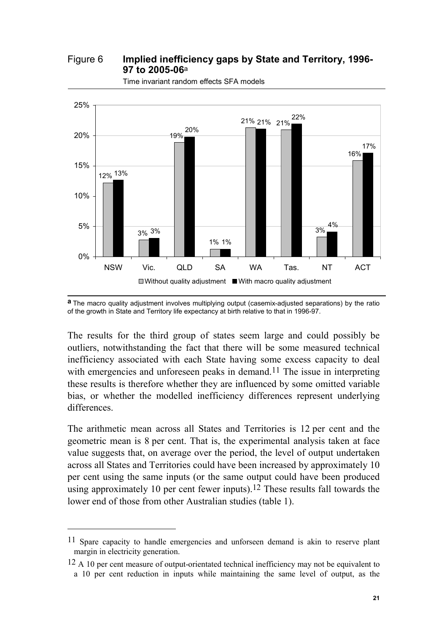Figure 6 **Implied inefficiency gaps by State and Territory, 1996- 97 to 2005-06**<sup>a</sup>



Time invariant random effects SFA models

The results for the third group of states seem large and could possibly be outliers, notwithstanding the fact that there will be some measured technical inefficiency associated with each State having some excess capacity to deal with emergencies and unforeseen peaks in demand.<sup>11</sup> The issue in interpreting these results is therefore whether they are influenced by some omitted variable bias, or whether the modelled inefficiency differences represent underlying differences.

The arithmetic mean across all States and Territories is 12 per cent and the geometric mean is 8 per cent. That is, the experimental analysis taken at face value suggests that, on average over the period, the level of output undertaken across all States and Territories could have been increased by approximately 10 per cent using the same inputs (or the same output could have been produced using approximately 10 per cent fewer inputs).<sup>12</sup> These results fall towards the lower end of those from other Australian studies (table 1).

l

**a** The macro quality adjustment involves multiplying output (casemix-adjusted separations) by the ratio of the growth in State and Territory life expectancy at birth relative to that in 1996-97.

<sup>11</sup> Spare capacity to handle emergencies and unforseen demand is akin to reserve plant margin in electricity generation.

 $12$  A 10 per cent measure of output-orientated technical inefficiency may not be equivalent to a 10 per cent reduction in inputs while maintaining the same level of output, as the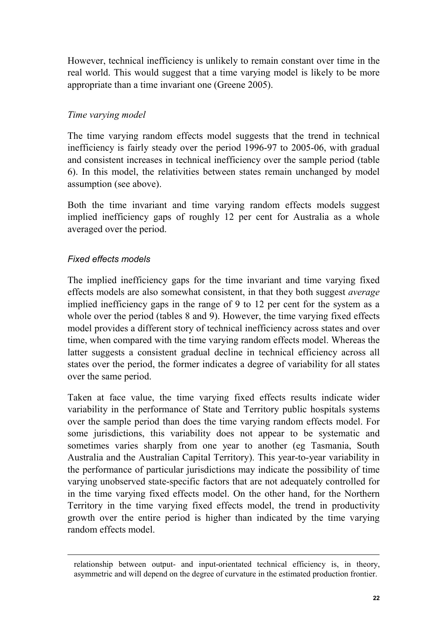However, technical inefficiency is unlikely to remain constant over time in the real world. This would suggest that a time varying model is likely to be more appropriate than a time invariant one (Greene 2005).

#### *Time varying model*

The time varying random effects model suggests that the trend in technical inefficiency is fairly steady over the period 1996-97 to 2005-06, with gradual and consistent increases in technical inefficiency over the sample period (table 6). In this model, the relativities between states remain unchanged by model assumption (see above).

Both the time invariant and time varying random effects models suggest implied inefficiency gaps of roughly 12 per cent for Australia as a whole averaged over the period.

# *Fixed effects models*

l

The implied inefficiency gaps for the time invariant and time varying fixed effects models are also somewhat consistent, in that they both suggest *average* implied inefficiency gaps in the range of 9 to 12 per cent for the system as a whole over the period (tables 8 and 9). However, the time varying fixed effects model provides a different story of technical inefficiency across states and over time, when compared with the time varying random effects model. Whereas the latter suggests a consistent gradual decline in technical efficiency across all states over the period, the former indicates a degree of variability for all states over the same period.

Taken at face value, the time varying fixed effects results indicate wider variability in the performance of State and Territory public hospitals systems over the sample period than does the time varying random effects model. For some jurisdictions, this variability does not appear to be systematic and sometimes varies sharply from one year to another (eg Tasmania, South Australia and the Australian Capital Territory). This year-to-year variability in the performance of particular jurisdictions may indicate the possibility of time varying unobserved state-specific factors that are not adequately controlled for in the time varying fixed effects model. On the other hand, for the Northern Territory in the time varying fixed effects model, the trend in productivity growth over the entire period is higher than indicated by the time varying random effects model.

relationship between output- and input-orientated technical efficiency is, in theory, asymmetric and will depend on the degree of curvature in the estimated production frontier.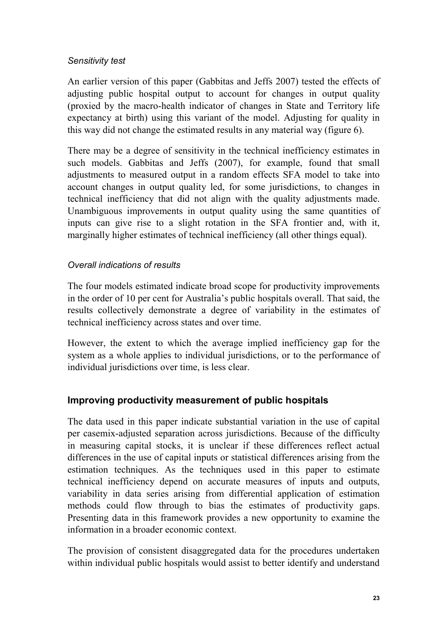#### *Sensitivity test*

An earlier version of this paper (Gabbitas and Jeffs 2007) tested the effects of adjusting public hospital output to account for changes in output quality (proxied by the macro-health indicator of changes in State and Territory life expectancy at birth) using this variant of the model. Adjusting for quality in this way did not change the estimated results in any material way (figure 6).

There may be a degree of sensitivity in the technical inefficiency estimates in such models. Gabbitas and Jeffs (2007), for example, found that small adjustments to measured output in a random effects SFA model to take into account changes in output quality led, for some jurisdictions, to changes in technical inefficiency that did not align with the quality adjustments made. Unambiguous improvements in output quality using the same quantities of inputs can give rise to a slight rotation in the SFA frontier and, with it, marginally higher estimates of technical inefficiency (all other things equal).

#### *Overall indications of results*

The four models estimated indicate broad scope for productivity improvements in the order of 10 per cent for Australia's public hospitals overall. That said, the results collectively demonstrate a degree of variability in the estimates of technical inefficiency across states and over time.

However, the extent to which the average implied inefficiency gap for the system as a whole applies to individual jurisdictions, or to the performance of individual jurisdictions over time, is less clear.

# **Improving productivity measurement of public hospitals**

The data used in this paper indicate substantial variation in the use of capital per casemix-adjusted separation across jurisdictions. Because of the difficulty in measuring capital stocks, it is unclear if these differences reflect actual differences in the use of capital inputs or statistical differences arising from the estimation techniques. As the techniques used in this paper to estimate technical inefficiency depend on accurate measures of inputs and outputs, variability in data series arising from differential application of estimation methods could flow through to bias the estimates of productivity gaps. Presenting data in this framework provides a new opportunity to examine the information in a broader economic context.

The provision of consistent disaggregated data for the procedures undertaken within individual public hospitals would assist to better identify and understand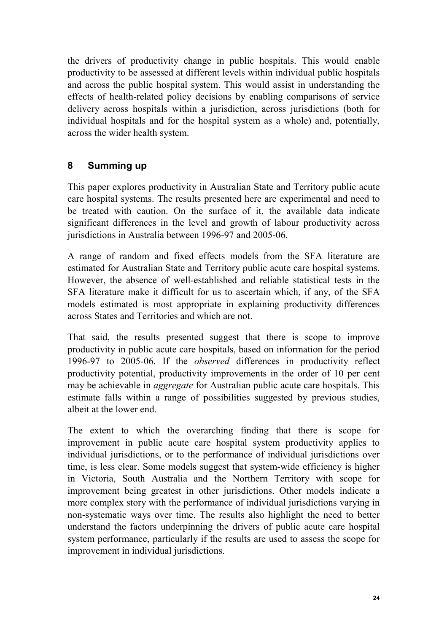the drivers of productivity change in public hospitals. This would enable productivity to be assessed at different levels within individual public hospitals and across the public hospital system. This would assist in understanding the effects of health-related policy decisions by enabling comparisons of service delivery across hospitals within a jurisdiction, across jurisdictions (both for individual hospitals and for the hospital system as a whole) and, potentially, across the wider health system.

# **8 Summing up**

This paper explores productivity in Australian State and Territory public acute care hospital systems. The results presented here are experimental and need to be treated with caution. On the surface of it, the available data indicate significant differences in the level and growth of labour productivity across jurisdictions in Australia between 1996-97 and 2005-06.

A range of random and fixed effects models from the SFA literature are estimated for Australian State and Territory public acute care hospital systems. However, the absence of well-established and reliable statistical tests in the SFA literature make it difficult for us to ascertain which, if any, of the SFA models estimated is most appropriate in explaining productivity differences across States and Territories and which are not.

That said, the results presented suggest that there is scope to improve productivity in public acute care hospitals, based on information for the period 1996-97 to 2005-06. If the *observed* differences in productivity reflect productivity potential, productivity improvements in the order of 10 per cent may be achievable in *aggregate* for Australian public acute care hospitals. This estimate falls within a range of possibilities suggested by previous studies, albeit at the lower end.

The extent to which the overarching finding that there is scope for improvement in public acute care hospital system productivity applies to individual jurisdictions, or to the performance of individual jurisdictions over time, is less clear. Some models suggest that system-wide efficiency is higher in Victoria, South Australia and the Northern Territory with scope for improvement being greatest in other jurisdictions. Other models indicate a more complex story with the performance of individual jurisdictions varying in non-systematic ways over time. The results also highlight the need to better understand the factors underpinning the drivers of public acute care hospital system performance, particularly if the results are used to assess the scope for improvement in individual jurisdictions.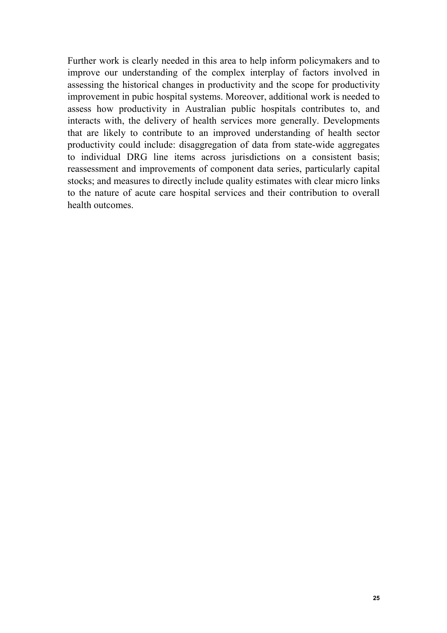Further work is clearly needed in this area to help inform policymakers and to improve our understanding of the complex interplay of factors involved in assessing the historical changes in productivity and the scope for productivity improvement in pubic hospital systems. Moreover, additional work is needed to assess how productivity in Australian public hospitals contributes to, and interacts with, the delivery of health services more generally. Developments that are likely to contribute to an improved understanding of health sector productivity could include: disaggregation of data from state-wide aggregates to individual DRG line items across jurisdictions on a consistent basis; reassessment and improvements of component data series, particularly capital stocks; and measures to directly include quality estimates with clear micro links to the nature of acute care hospital services and their contribution to overall health outcomes.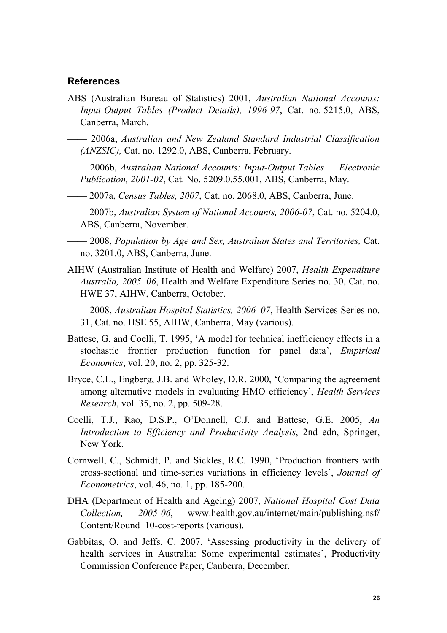#### **References**

- ABS (Australian Bureau of Statistics) 2001, *Australian National Accounts: Input-Output Tables (Product Details), 1996-97*, Cat. no. 5215.0, ABS, Canberra, March.
- —— 2006a, *Australian and New Zealand Standard Industrial Classification (ANZSIC),* Cat. no. 1292.0, ABS, Canberra, February.
- —— 2006b, *Australian National Accounts: Input-Output Tables Electronic Publication, 2001-02*, Cat. No. 5209.0.55.001, ABS, Canberra, May.
- —— 2007a, *Census Tables, 2007*, Cat. no. 2068.0, ABS, Canberra, June.
- —— 2007b, *Australian System of National Accounts, 2006-07*, Cat. no. 5204.0, ABS, Canberra, November.
- —— 2008, *Population by Age and Sex, Australian States and Territories,* Cat. no. 3201.0, ABS, Canberra, June.
- AIHW (Australian Institute of Health and Welfare) 2007, *Health Expenditure Australia, 2005–06*, Health and Welfare Expenditure Series no. 30, Cat. no. HWE 37, AIHW, Canberra, October.
- —— 2008, *Australian Hospital Statistics, 2006–07*, Health Services Series no. 31, Cat. no. HSE 55, AIHW, Canberra, May (various).
- Battese, G. and Coelli, T. 1995, 'A model for technical inefficiency effects in a stochastic frontier production function for panel data', *Empirical Economics*, vol. 20, no. 2, pp. 325-32.
- Bryce, C.L., Engberg, J.B. and Wholey, D.R. 2000, 'Comparing the agreement among alternative models in evaluating HMO efficiency', *Health Services Research*, vol. 35, no. 2, pp. 509-28.
- Coelli, T.J., Rao, D.S.P., O'Donnell, C.J. and Battese, G.E. 2005, *An Introduction to Efficiency and Productivity Analysis*, 2nd edn, Springer, New York.
- Cornwell, C., Schmidt, P. and Sickles, R.C. 1990, 'Production frontiers with cross-sectional and time-series variations in efficiency levels', *Journal of Econometrics*, vol. 46, no. 1, pp. 185-200.
- DHA (Department of Health and Ageing) 2007, *National Hospital Cost Data Collection, 2005-06*, www.health.gov.au/internet/main/publishing.nsf/ Content/Round\_10-cost-reports (various).
- Gabbitas, O. and Jeffs, C. 2007, 'Assessing productivity in the delivery of health services in Australia: Some experimental estimates', Productivity Commission Conference Paper, Canberra, December.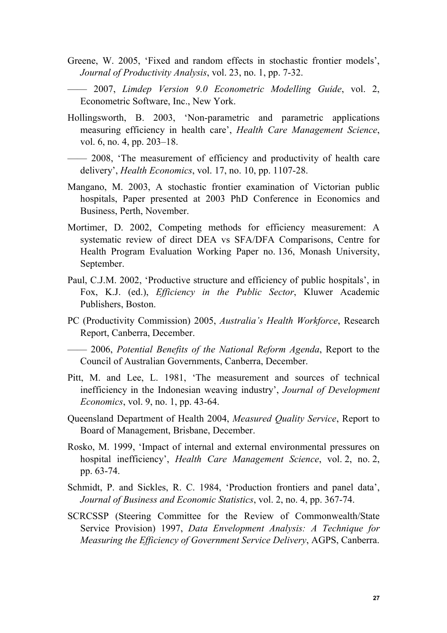- Greene, W. 2005, 'Fixed and random effects in stochastic frontier models', *Journal of Productivity Analysis*, vol. 23, no. 1, pp. 7-32.
- —— 2007, *Limdep Version 9.0 Econometric Modelling Guide*, vol. 2, Econometric Software, Inc., New York.
- Hollingsworth, B. 2003, 'Non-parametric and parametric applications measuring efficiency in health care', *Health Care Management Science*, vol. 6, no. 4, pp. 203–18.
- —— 2008, 'The measurement of efficiency and productivity of health care delivery', *Health Economics*, vol. 17, no. 10, pp. 1107-28.
- Mangano, M. 2003, A stochastic frontier examination of Victorian public hospitals, Paper presented at 2003 PhD Conference in Economics and Business, Perth, November.
- Mortimer, D. 2002, Competing methods for efficiency measurement: A systematic review of direct DEA vs SFA/DFA Comparisons, Centre for Health Program Evaluation Working Paper no. 136, Monash University, September.
- Paul, C.J.M. 2002, 'Productive structure and efficiency of public hospitals', in Fox, K.J. (ed.), *Efficiency in the Public Sector*, Kluwer Academic Publishers, Boston.
- PC (Productivity Commission) 2005, *Australia's Health Workforce*, Research Report, Canberra, December.

—— 2006, *Potential Benefits of the National Reform Agenda*, Report to the Council of Australian Governments, Canberra, December.

- Pitt, M. and Lee, L. 1981, 'The measurement and sources of technical inefficiency in the Indonesian weaving industry', *Journal of Development Economics*, vol. 9, no. 1, pp. 43-64.
- Queensland Department of Health 2004, *Measured Quality Service*, Report to Board of Management, Brisbane, December.
- Rosko, M. 1999, 'Impact of internal and external environmental pressures on hospital inefficiency', *Health Care Management Science*, vol. 2, no. 2, pp. 63-74.
- Schmidt, P. and Sickles, R. C. 1984, 'Production frontiers and panel data', *Journal of Business and Economic Statistics*, vol. 2, no. 4, pp. 367-74.
- SCRCSSP (Steering Committee for the Review of Commonwealth/State Service Provision) 1997, *Data Envelopment Analysis: A Technique for Measuring the Efficiency of Government Service Delivery*, AGPS, Canberra.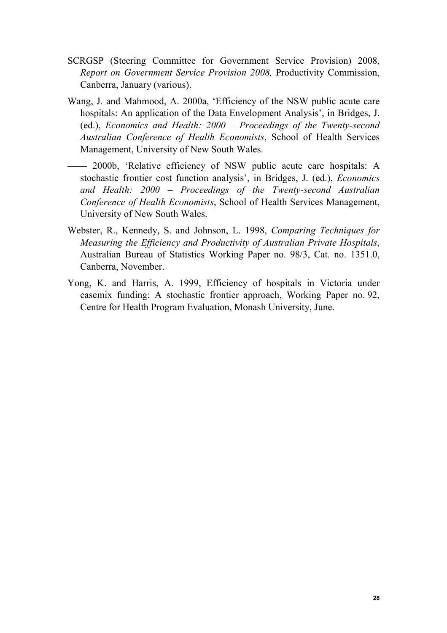- SCRGSP (Steering Committee for Government Service Provision) 2008, *Report on Government Service Provision 2008,* Productivity Commission, Canberra, January (various).
- Wang, J. and Mahmood, A. 2000a, 'Efficiency of the NSW public acute care hospitals: An application of the Data Envelopment Analysis', in Bridges, J. (ed.), *Economics and Health: 2000 – Proceedings of the Twenty-second Australian Conference of Health Economists*, School of Health Services Management, University of New South Wales.
- —— 2000b, 'Relative efficiency of NSW public acute care hospitals: A stochastic frontier cost function analysis', in Bridges, J. (ed.), *Economics and Health: 2000 – Proceedings of the Twenty-second Australian Conference of Health Economists*, School of Health Services Management, University of New South Wales.
- Webster, R., Kennedy, S. and Johnson, L. 1998, *Comparing Techniques for Measuring the Efficiency and Productivity of Australian Private Hospitals*, Australian Bureau of Statistics Working Paper no. 98/3, Cat. no. 1351.0, Canberra, November.
- Yong, K. and Harris, A. 1999, Efficiency of hospitals in Victoria under casemix funding: A stochastic frontier approach, Working Paper no. 92, Centre for Health Program Evaluation, Monash University, June.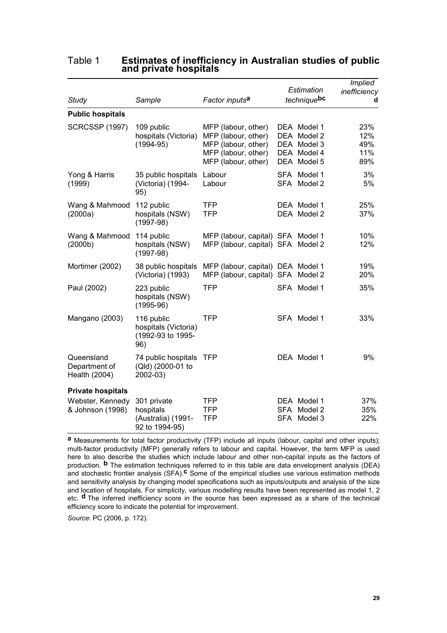| <b>Study</b>                                                     | Sample                                                           | Factor inputs <sup>a</sup>                                                                                      | Estimation<br>techniquebc                                               | <b>Implied</b><br>inefficiency<br>d |
|------------------------------------------------------------------|------------------------------------------------------------------|-----------------------------------------------------------------------------------------------------------------|-------------------------------------------------------------------------|-------------------------------------|
| <b>Public hospitals</b>                                          |                                                                  |                                                                                                                 |                                                                         |                                     |
| <b>SCRCSSP (1997)</b>                                            | 109 public<br>hospitals (Victoria)<br>$(1994 - 95)$              | MFP (labour, other)<br>MFP (labour, other)<br>MFP (labour, other)<br>MFP (labour, other)<br>MFP (labour, other) | DEA Model 1<br>DEA Model 2<br>DEA Model 3<br>DEA Model 4<br>DEA Model 5 | 23%<br>12%<br>49%<br>11%<br>89%     |
| Yong & Harris<br>(1999)                                          | 35 public hospitals<br>(Victoria) (1994-<br>95)                  | Labour<br>Labour                                                                                                | SFA Model 1<br>SFA Model 2                                              | 3%<br>5%                            |
| Wang & Mahmood<br>(2000a)                                        | 112 public<br>hospitals (NSW)<br>$(1997-98)$                     | TFP<br><b>TFP</b>                                                                                               | DEA Model 1<br>DEA Model 2                                              | 25%<br>37%                          |
| Wang & Mahmood<br>(2000b)                                        | 114 public<br>hospitals (NSW)<br>$(1997-98)$                     | MFP (labour, capital) SFA Model 1<br>MFP (labour, capital) SFA Model 2                                          |                                                                         | 10%<br>12%                          |
| Mortimer (2002)                                                  | 38 public hospitals<br>(Victoria) (1993)                         | MFP (labour, capital) DEA Model 1<br>MFP (labour, capital) SFA Model 2                                          |                                                                         | 19%<br>20%                          |
| Paul (2002)                                                      | 223 public<br>hospitals (NSW)<br>$(1995-96)$                     | <b>TFP</b>                                                                                                      | SFA Model 1                                                             | 35%                                 |
| Mangano (2003)                                                   | 116 public<br>hospitals (Victoria)<br>(1992-93 to 1995-<br>96)   | TFP                                                                                                             | SFA Model 1                                                             | 33%                                 |
| Queensland<br>Department of<br>Health (2004)                     | 74 public hospitals<br>(Qld) (2000-01 to<br>2002-03)             | <b>TFP</b>                                                                                                      | DEA Model 1                                                             | 9%                                  |
| <b>Private hospitals</b><br>Webster, Kennedy<br>& Johnson (1998) | 301 private<br>hospitals<br>(Australia) (1991-<br>92 to 1994-95) | <b>TFP</b><br><b>TFP</b><br>TFP                                                                                 | DEA Model 1<br><b>SFA</b><br>Model 2<br>SFA Model 3                     | 37%<br>35%<br>22%                   |

#### Table 1 **Estimates of inefficiency in Australian studies of public and private hospitals**

**a** Measurements for total factor productivity (TFP) include all inputs (labour, capital and other inputs); multi-factor productivity (MFP) generally refers to labour and capital. However, the term MFP is used here to also describe the studies which include labour and other non-capital inputs as the factors of production. **b** The estimation techniques referred to in this table are data envelopment analysis (DEA) and stochastic frontier analysis (SFA).**c** Some of the empirical studies use various estimation methods and sensitivity analysis by changing model specifications such as inputs/outputs and analysis of the size and location of hospitals. For simplicity, various modelling results have been represented as model 1, 2 etc. **d** The inferred inefficiency score in the source has been expressed as a share of the technical efficiency score to indicate the potential for improvement.

*Source*: PC (2006, p. 172).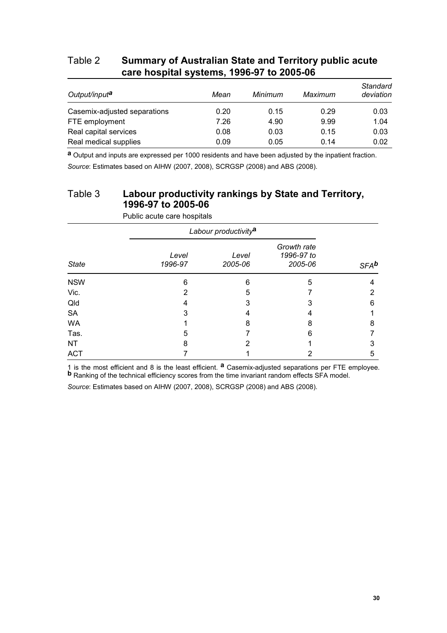#### Table 2 **Summary of Australian State and Territory public acute care hospital systems, 1996-97 to 2005-06**

| Output/input <sup>a</sup>    | Mean | Minimum | Maximum | Standard<br>deviation |
|------------------------------|------|---------|---------|-----------------------|
| Casemix-adjusted separations | 0.20 | 0.15    | 0.29    | 0.03                  |
| FTE employment               | 7.26 | 4.90    | 9.99    | 1.04                  |
| Real capital services        | 0.08 | 0.03    | 0.15    | 0.03                  |
| Real medical supplies        | 0.09 | 0.05    | 0.14    | 0.02                  |

**a** Output and inputs are expressed per 1000 residents and have been adjusted by the inpatient fraction. *Source*: Estimates based on AIHW (2007, 2008), SCRGSP (2008) and ABS (2008).

### Table 3 **Labour productivity rankings by State and Territory, 1996-97 to 2005-06**

|              |                  | Labour productivity <sup>a</sup> |                                      |         |  |  |  |  |
|--------------|------------------|----------------------------------|--------------------------------------|---------|--|--|--|--|
| <b>State</b> | Level<br>1996-97 | Level<br>2005-06                 | Growth rate<br>1996-97 to<br>2005-06 | $SFA^b$ |  |  |  |  |
| <b>NSW</b>   | 6                | 6                                | 5                                    | 4       |  |  |  |  |
| Vic.         | 2                | 5                                |                                      | 2       |  |  |  |  |
| Qld          | 4                | 3                                | 3                                    | 6       |  |  |  |  |
| <b>SA</b>    | 3                | 4                                | 4                                    |         |  |  |  |  |
| <b>WA</b>    |                  | 8                                | 8                                    | 8       |  |  |  |  |
| Tas.         | 5                |                                  | 6                                    |         |  |  |  |  |
| NT           | 8                | 2                                |                                      | 3       |  |  |  |  |
| <b>ACT</b>   |                  |                                  | 2                                    | 5       |  |  |  |  |

Public acute care hospitals

1 is the most efficient and 8 is the least efficient. **<sup>a</sup>** Casemix-adjusted separations per FTE employee. **b** Ranking of the technical efficiency scores from the time invariant random effects SFA model.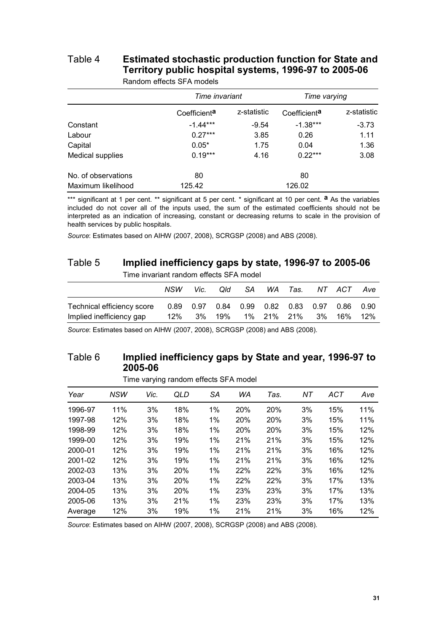# Table 4 **Estimated stochastic production function for State and Territory public hospital systems, 1996-97 to 2005-06**

|                     | Time invariant           |             | Time varying             |             |  |
|---------------------|--------------------------|-------------|--------------------------|-------------|--|
|                     | Coefficient <sup>a</sup> | z-statistic | Coefficient <sup>a</sup> | z-statistic |  |
| Constant            | $-1.44***$               | $-9.54$     | $-1.38***$               | $-3.73$     |  |
| Labour              | $0.27***$                | 3.85        | 0.26                     | 1.11        |  |
| Capital             | $0.05*$                  | 1.75        | 0.04                     | 1.36        |  |
| Medical supplies    | $0.19***$                | 4.16        | $0.22***$                | 3.08        |  |
| No. of observations | 80                       |             | 80                       |             |  |
| Maximum likelihood  | 125.42                   |             | 126.02                   |             |  |

Random effects SFA models

\*\*\* significant at 1 per cent. \*\* significant at 5 per cent. \* significant at 10 per cent. <sup>a</sup> As the variables included do not cover all of the inputs used, the sum of the estimated coefficients should not be interpreted as an indication of increasing, constant or decreasing returns to scale in the provision of health services by public hospitals.

*Source*: Estimates based on AIHW (2007, 2008), SCRGSP (2008) and ABS (2008).

#### Table 5 **Implied inefficiency gaps by state, 1996-97 to 2005-06**

Time invariant random effects SFA model

|                            | NSW | Vic. | Qld. | SA WA Tas. |  | NT ACT                                               | Ave |
|----------------------------|-----|------|------|------------|--|------------------------------------------------------|-----|
| Technical efficiency score |     |      |      |            |  | 0.89  0.97  0.84  0.99  0.82  0.83  0.97  0.86  0.90 |     |
| Implied inefficiency gap   | 12% |      |      |            |  | 3% 19% 1% 21% 21% 3% 16% 12%                         |     |

*Source*: Estimates based on AIHW (2007, 2008), SCRGSP (2008) and ABS (2008).

#### Table 6 **Implied inefficiency gaps by State and year, 1996-97 to 2005-06**

Time varying random effects SFA model

| Year    | <b>NSW</b> | Vic. | QLD | SА    | WA  | Tas. | ΝT | ACT | Ave |
|---------|------------|------|-----|-------|-----|------|----|-----|-----|
| 1996-97 | 11%        | 3%   | 18% | 1%    | 20% | 20%  | 3% | 15% | 11% |
| 1997-98 | 12%        | 3%   | 18% | 1%    | 20% | 20%  | 3% | 15% | 11% |
| 1998-99 | 12%        | 3%   | 18% | 1%    | 20% | 20%  | 3% | 15% | 12% |
| 1999-00 | 12%        | 3%   | 19% | $1\%$ | 21% | 21%  | 3% | 15% | 12% |
| 2000-01 | 12%        | 3%   | 19% | 1%    | 21% | 21%  | 3% | 16% | 12% |
| 2001-02 | 12%        | 3%   | 19% | 1%    | 21% | 21%  | 3% | 16% | 12% |
| 2002-03 | 13%        | 3%   | 20% | 1%    | 22% | 22%  | 3% | 16% | 12% |
| 2003-04 | 13%        | 3%   | 20% | 1%    | 22% | 22%  | 3% | 17% | 13% |
| 2004-05 | 13%        | 3%   | 20% | 1%    | 23% | 23%  | 3% | 17% | 13% |
| 2005-06 | 13%        | 3%   | 21% | 1%    | 23% | 23%  | 3% | 17% | 13% |
| Average | 12%        | 3%   | 19% | 1%    | 21% | 21%  | 3% | 16% | 12% |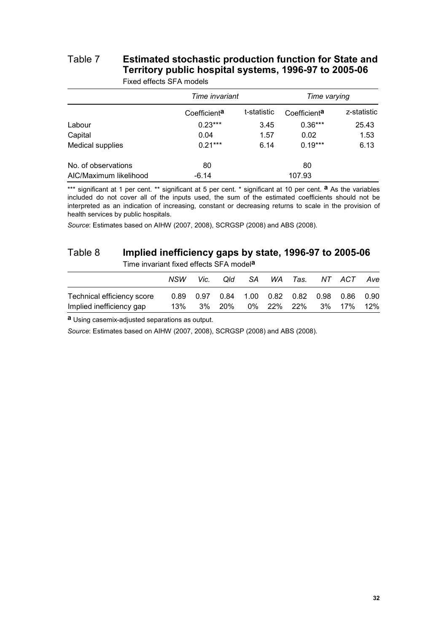# Table 7 **Estimated stochastic production function for State and Territory public hospital systems, 1996-97 to 2005-06**

|                        | Time invariant           |             | Time varying             |             |  |
|------------------------|--------------------------|-------------|--------------------------|-------------|--|
|                        | Coefficient <sup>a</sup> | t-statistic | Coefficient <sup>a</sup> | z-statistic |  |
| Labour                 | $0.23***$                | 3.45        | $0.36***$                | 25.43       |  |
| Capital                | 0.04                     | 1.57        | 0.02                     | 1.53        |  |
| Medical supplies       | $0.21***$                | 6.14        | $0.19***$                | 6.13        |  |
| No. of observations    | 80                       |             | 80                       |             |  |
| AIC/Maximum likelihood | $-6.14$                  |             | 107.93                   |             |  |

Fixed effects SFA models

\*\*\* significant at 1 per cent. \*\* significant at 5 per cent. \* significant at 10 per cent. <sup>a</sup> As the variables included do not cover all of the inputs used, the sum of the estimated coefficients should not be interpreted as an indication of increasing, constant or decreasing returns to scale in the provision of health services by public hospitals.

*Source*: Estimates based on AIHW (2007, 2008), SCRGSP (2008) and ABS (2008).

#### Table 8 **Implied inefficiency gaps by state, 1996-97 to 2005-06**

Time invariant fixed effects SFA model**a**

|                            | NSW      | Vic. | Qld    | SA – |  | WA Tas. NT ACT                                       | Ave |
|----------------------------|----------|------|--------|------|--|------------------------------------------------------|-----|
| Technical efficiency score |          |      |        |      |  | 0.89  0.97  0.84  1.00  0.82  0.82  0.98  0.86  0.90 |     |
| Implied inefficiency gap   | $13\%$ . |      | 3% 20% |      |  | 0% 22% 22% 3% 17% 12%                                |     |

**a** Using casemix-adjusted separations as output.